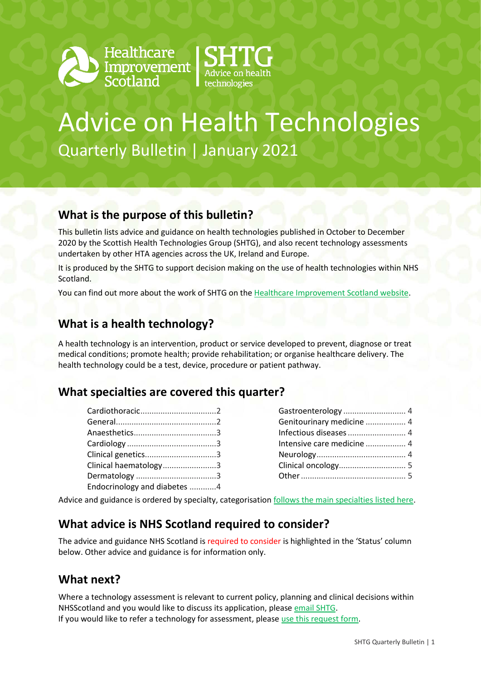



# Advice on Health Technologies Quarterly Bulletin | January 2021

#### **What is the purpose of this bulletin?**

This bulletin lists advice and guidance on health technologies published in October to December 2020 by the Scottish Health Technologies Group (SHTG), and also recent technology assessments undertaken by other HTA agencies across the UK, Ireland and Europe.

It is produced by the SHTG to support decision making on the use of health technologies within NHS Scotland.

You can find out more about the work of SHTG on th[e Healthcare Improvement Scotland website.](http://www.healthcareimprovementscotland.org/our_work/technologies_and_medicines/shtg.aspx)

#### **What is a health technology?**

A health technology is an intervention, product or service developed to prevent, diagnose or treat medical conditions; promote health; provide rehabilitation; or organise healthcare delivery. The health technology could be a test, device, procedure or patient pathway.

#### **What specialties are covered this quarter?**

| Clinical genetics3           |  |
|------------------------------|--|
| Clinical haematology3        |  |
|                              |  |
| Endocrinology and diabetes 4 |  |

| Genitourinary medicine  4  |  |
|----------------------------|--|
| Infectious diseases  4     |  |
| Intensive care medicine  4 |  |
|                            |  |
|                            |  |
|                            |  |
|                            |  |

Advice and guidance is ordered by specialty, categorisatio[n follows the main specialties listed here.](https://www.datadictionary.nhs.uk/web_site_content/supporting_information/main_specialty_and_treatment_function_codes_table.asp)

#### **What advice is NHS Scotland required to consider?**

The advice and guidance NHS Scotland is required to consider is highlighted in the 'Status' column below. Other advice and guidance is for information only.

### **What next?**

Where a technology assessment is relevant to current policy, planning and clinical decisions within NHSScotland and you would like to discuss its application, please [email SHTG.](mailto:his.shtg@nhs.scot) If you would like to refer a technology for assessment, please [use this request form.](http://www.healthcareimprovementscotland.org/idoc.ashx?docid=5e383653-8f96-4541-983c-7e411b487455&version=-1)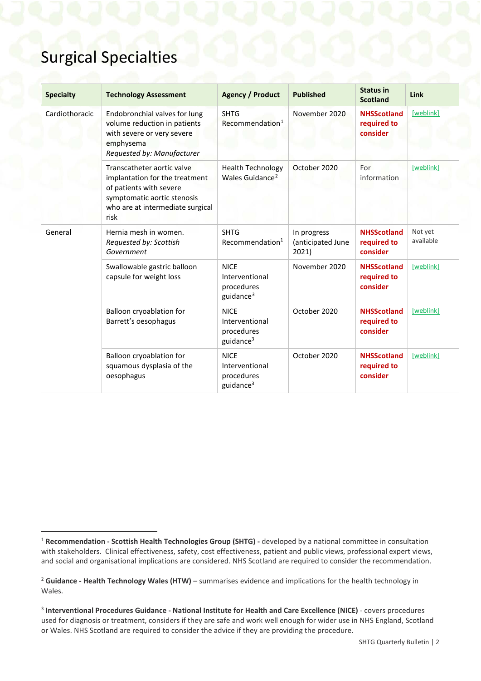### Surgical Specialties

<span id="page-1-1"></span><span id="page-1-0"></span>

| <b>Specialty</b> | <b>Technology Assessment</b>                                                                                                                                       | <b>Agency / Product</b>                                              | <b>Published</b>                          | <b>Status in</b><br><b>Scotland</b>           | <b>Link</b>          |
|------------------|--------------------------------------------------------------------------------------------------------------------------------------------------------------------|----------------------------------------------------------------------|-------------------------------------------|-----------------------------------------------|----------------------|
| Cardiothoracic   | Endobronchial valves for lung<br>volume reduction in patients<br>with severe or very severe<br>emphysema<br>Requested by: Manufacturer                             | <b>SHTG</b><br>Recommendation <sup>1</sup>                           | November 2020                             | <b>NHSScotland</b><br>required to<br>consider | [weblink]            |
|                  | Transcatheter aortic valve<br>implantation for the treatment<br>of patients with severe<br>symptomatic aortic stenosis<br>who are at intermediate surgical<br>risk | <b>Health Technology</b><br>Wales Guidance <sup>2</sup>              | October 2020                              | For<br>information                            | [weblink]            |
| General          | Hernia mesh in women.<br>Requested by: Scottish<br>Government                                                                                                      | <b>SHTG</b><br>Recommendation <sup>1</sup>                           | In progress<br>(anticipated June<br>2021) | <b>NHSScotland</b><br>required to<br>consider | Not yet<br>available |
|                  | Swallowable gastric balloon<br>capsule for weight loss                                                                                                             | <b>NICE</b><br>Interventional<br>procedures<br>guidance <sup>3</sup> | November 2020                             | <b>NHSScotland</b><br>required to<br>consider | [weblink]            |
|                  | Balloon cryoablation for<br>Barrett's oesophagus                                                                                                                   | <b>NICE</b><br>Interventional<br>procedures<br>guidance <sup>3</sup> | October 2020                              | <b>NHSScotland</b><br>required to<br>consider | [weblink]            |
|                  | Balloon cryoablation for<br>squamous dysplasia of the<br>oesophagus                                                                                                | <b>NICE</b><br>Interventional<br>procedures<br>guidance <sup>3</sup> | October 2020                              | <b>NHSScotland</b><br>required to<br>consider | [weblink]            |

 <sup>1</sup> **Recommendation - Scottish Health Technologies Group (SHTG) -** developed by a national committee in consultation with stakeholders. Clinical effectiveness, safety, cost effectiveness, patient and public views, professional expert views, and social and organisational implications are considered. NHS Scotland are required to consider the recommendation.

<sup>2</sup> **Guidance - Health Technology Wales (HTW)** – summarises evidence and implications for the health technology in Wales.

<sup>3</sup> **Interventional Procedures Guidance - National Institute for Health and Care Excellence (NICE)** - covers procedures used for diagnosis or treatment, considers if they are safe and work well enough for wider use in NHS England, Scotland or Wales. NHS Scotland are required to consider the advice if they are providing the procedure.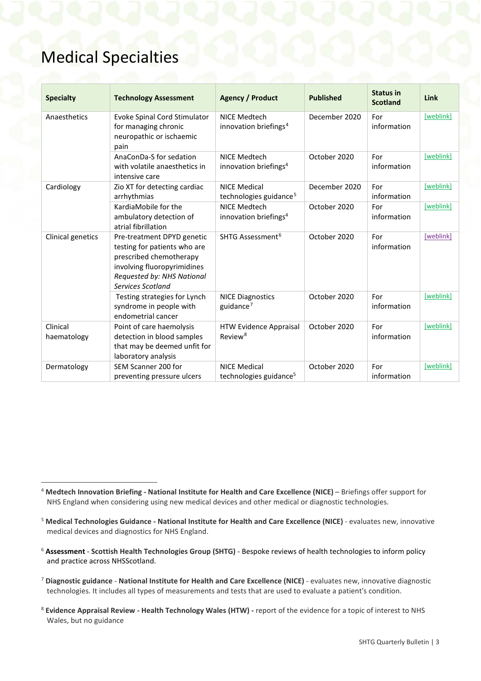### Medical Specialties

<span id="page-2-5"></span><span id="page-2-4"></span><span id="page-2-3"></span>

| <b>Specialty</b>        | <b>Technology Assessment</b>                                                                                                                                            | <b>Agency / Product</b>                                   | <b>Published</b> | <b>Status in</b><br><b>Scotland</b> | Link      |
|-------------------------|-------------------------------------------------------------------------------------------------------------------------------------------------------------------------|-----------------------------------------------------------|------------------|-------------------------------------|-----------|
| Anaesthetics            | Evoke Spinal Cord Stimulator<br>for managing chronic<br>neuropathic or ischaemic<br>pain                                                                                | <b>NICE Medtech</b><br>innovation briefings <sup>4</sup>  | December 2020    | For<br>information                  | [weblink] |
|                         | AnaConDa-S for sedation<br>with volatile anaesthetics in<br>intensive care                                                                                              | NICE Medtech<br>innovation briefings <sup>4</sup>         | October 2020     | For<br>information                  | [weblink] |
| Cardiology              | Zio XT for detecting cardiac<br>arrhythmias                                                                                                                             | <b>NICE Medical</b><br>technologies guidance <sup>5</sup> | December 2020    | For<br>information                  | [weblink] |
|                         | KardiaMobile for the<br>ambulatory detection of<br>atrial fibrillation                                                                                                  | NICE Medtech<br>innovation briefings <sup>4</sup>         | October 2020     | For<br>information                  | [weblink] |
| Clinical genetics       | Pre-treatment DPYD genetic<br>testing for patients who are<br>prescribed chemotherapy<br>involving fluoropyrimidines<br>Requested by: NHS National<br>Services Scotland | SHTG Assessment <sup>6</sup>                              | October 2020     | For<br>information                  | [weblink] |
|                         | Testing strategies for Lynch<br>syndrome in people with<br>endometrial cancer                                                                                           | <b>NICE Diagnostics</b><br>guidance <sup>7</sup>          | October 2020     | For<br>information                  | [weblink] |
| Clinical<br>haematology | Point of care haemolysis<br>detection in blood samples<br>that may be deemed unfit for<br>laboratory analysis                                                           | HTW Evidence Appraisal<br>Review <sup>8</sup>             | October 2020     | For<br>information                  | [weblink] |
| Dermatology             | SEM Scanner 200 for<br>preventing pressure ulcers                                                                                                                       | <b>NICE Medical</b><br>technologies guidance <sup>5</sup> | October 2020     | For<br>information                  | [weblink] |

- <span id="page-2-0"></span><sup>6</sup> **Assessment** - **Scottish Health Technologies Group (SHTG)** - Bespoke reviews of health technologies to inform policy and practice across NHSScotland.
- <span id="page-2-1"></span><sup>7</sup> **Diagnostic guidance** - **National Institute for Health and Care Excellence (NICE)** - evaluates new, innovative diagnostic technologies. It includes all types of measurements and tests that are used to evaluate a patient's condition.
- <span id="page-2-2"></span><sup>8</sup> **Evidence Appraisal Review - Health Technology Wales (HTW) -** report of the evidence for a topic of interest to NHS Wales, but no guidance

 <sup>4</sup> **Medtech Innovation Briefing - National Institute for Health and Care Excellence (NICE)** – Briefings offer support for NHS England when considering using new medical devices and other medical or diagnostic technologies.

<sup>5</sup> **Medical Technologies Guidance - National Institute for Health and Care Excellence (NICE)** - evaluates new, innovative medical devices and diagnostics for NHS England.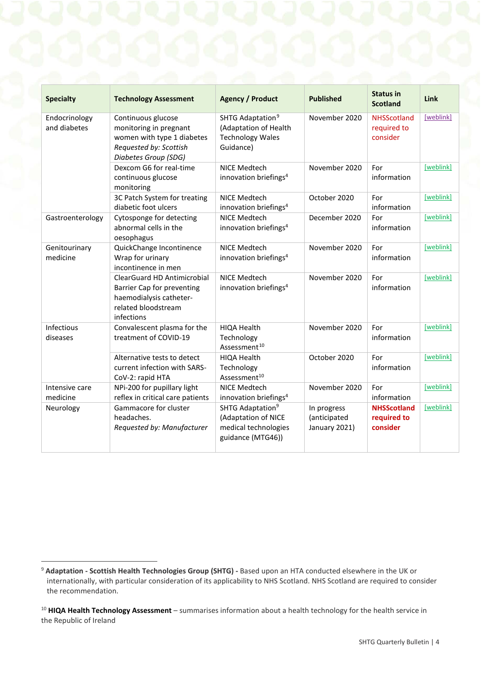<span id="page-3-6"></span>

| <b>Specialty</b>              | <b>Technology Assessment</b>                                                                                                     | <b>Agency / Product</b>                                                                          | <b>Published</b>                             | <b>Status in</b><br><b>Scotland</b>           | Link      |
|-------------------------------|----------------------------------------------------------------------------------------------------------------------------------|--------------------------------------------------------------------------------------------------|----------------------------------------------|-----------------------------------------------|-----------|
| Endocrinology<br>and diabetes | Continuous glucose<br>monitoring in pregnant<br>women with type 1 diabetes<br>Requested by: Scottish<br>Diabetes Group (SDG)     | SHTG Adaptation <sup>9</sup><br>(Adaptation of Health<br><b>Technology Wales</b><br>Guidance)    | November 2020                                | NHSScotland<br>required to<br>consider        | [weblink] |
|                               | Dexcom G6 for real-time<br>continuous glucose<br>monitoring                                                                      | NICE Medtech<br>innovation briefings <sup>4</sup>                                                | November 2020                                | For<br>information                            | [weblink] |
|                               | 3C Patch System for treating<br>diabetic foot ulcers                                                                             | NICE Medtech<br>innovation briefings <sup>4</sup>                                                | October 2020                                 | For<br>information                            | [weblink] |
| Gastroenterology              | Cytosponge for detecting<br>abnormal cells in the<br>oesophagus                                                                  | NICE Medtech<br>innovation briefings <sup>4</sup>                                                | December 2020                                | For<br>information                            | [weblink] |
| Genitourinary<br>medicine     | QuickChange Incontinence<br>Wrap for urinary<br>incontinence in men                                                              | NICE Medtech<br>innovation briefings <sup>4</sup>                                                | November 2020                                | For<br>information                            | [weblink] |
|                               | <b>ClearGuard HD Antimicrobial</b><br>Barrier Cap for preventing<br>haemodialysis catheter-<br>related bloodstream<br>infections | NICE Medtech<br>innovation briefings <sup>4</sup>                                                | November 2020                                | For<br>information                            | [weblink] |
| Infectious<br>diseases        | Convalescent plasma for the<br>treatment of COVID-19                                                                             | HIQA Health<br>Technology<br>Assessment <sup>10</sup>                                            | November 2020                                | For<br>information                            | [weblink] |
|                               | Alternative tests to detect<br>current infection with SARS-<br>CoV-2: rapid HTA                                                  | HIQA Health<br>Technology<br>Assessment <sup>10</sup>                                            | October 2020                                 | For<br>information                            | [weblink] |
| Intensive care<br>medicine    | NPi-200 for pupillary light<br>reflex in critical care patients                                                                  | NICE Medtech<br>innovation briefings <sup>4</sup>                                                | November 2020                                | For<br>information                            | [weblink] |
| Neurology                     | Gammacore for cluster<br>headaches.<br>Requested by: Manufacturer                                                                | SHTG Adaptation <sup>9</sup><br>(Adaptation of NICE<br>medical technologies<br>guidance (MTG46)) | In progress<br>(anticipated<br>January 2021) | <b>NHSScotland</b><br>required to<br>consider | [weblink] |

<span id="page-3-5"></span><span id="page-3-3"></span><span id="page-3-2"></span><span id="page-3-1"></span><span id="page-3-0"></span> <sup>9</sup> **Adaptation - Scottish Health Technologies Group (SHTG) -** Based upon an HTA conducted elsewhere in the UK or internationally, with particular consideration of its applicability to NHS Scotland. NHS Scotland are required to consider the recommendation.

<span id="page-3-4"></span><sup>10</sup> **HIQA Health Technology Assessment** – summarises information about a health technology for the health service in the Republic of Ireland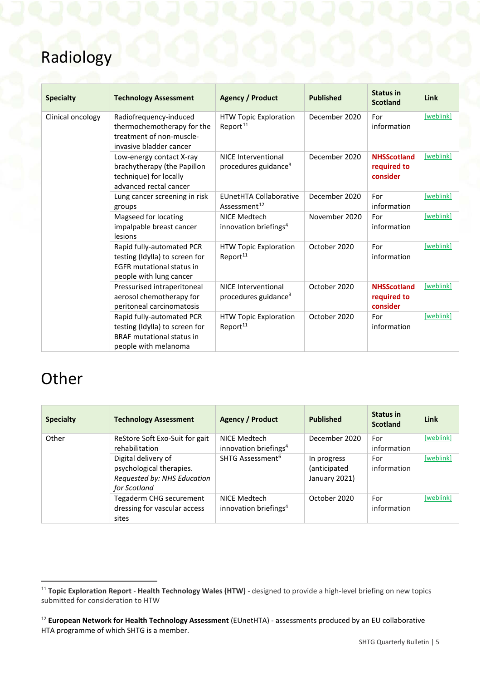## Radiology

<span id="page-4-2"></span>

| <b>Specialty</b>  | <b>Technology Assessment</b>                                                                                               | <b>Agency / Product</b>                                        | <b>Published</b> | <b>Status in</b><br><b>Scotland</b>           | Link      |
|-------------------|----------------------------------------------------------------------------------------------------------------------------|----------------------------------------------------------------|------------------|-----------------------------------------------|-----------|
| Clinical oncology | Radiofrequency-induced<br>thermochemotherapy for the<br>treatment of non-muscle-<br>invasive bladder cancer                | <b>HTW Topic Exploration</b><br>Report <sup>11</sup>           | December 2020    | For<br>information                            | [weblink] |
|                   | Low-energy contact X-ray<br>brachytherapy (the Papillon<br>technique) for locally<br>advanced rectal cancer                | <b>NICE Interventional</b><br>procedures guidance <sup>3</sup> | December 2020    | <b>NHSScotland</b><br>required to<br>consider | [weblink] |
|                   | Lung cancer screening in risk<br>groups                                                                                    | <b>EUnetHTA Collaborative</b><br>Assessment <sup>12</sup>      | December 2020    | For<br>information                            | [weblink] |
|                   | Magseed for locating<br>impalpable breast cancer<br>lesions                                                                | NICE Medtech<br>innovation briefings <sup>4</sup>              | November 2020    | For<br>information                            | [weblink] |
|                   | Rapid fully-automated PCR<br>testing (Idylla) to screen for<br><b>EGFR</b> mutational status in<br>people with lung cancer | <b>HTW Topic Exploration</b><br>Report <sup>11</sup>           | October 2020     | For<br>information                            | [weblink] |
|                   | Pressurised intraperitoneal<br>aerosol chemotherapy for<br>peritoneal carcinomatosis                                       | <b>NICE Interventional</b><br>procedures guidance <sup>3</sup> | October 2020     | <b>NHSScotland</b><br>required to<br>consider | [weblink] |
|                   | Rapid fully-automated PCR<br>testing (Idylla) to screen for<br><b>BRAF</b> mutational status in<br>people with melanoma    | <b>HTW Topic Exploration</b><br>Report <sup>11</sup>           | October 2020     | For<br>information                            | [weblink] |

### **Other**

| <b>Specialty</b> | <b>Technology Assessment</b>                                                                   | <b>Agency / Product</b>                           | <b>Published</b>                             | <b>Status in</b><br><b>Scotland</b> | Link      |
|------------------|------------------------------------------------------------------------------------------------|---------------------------------------------------|----------------------------------------------|-------------------------------------|-----------|
| Other            | ReStore Soft Exo-Suit for gait<br>rehabilitation                                               | NICE Medtech<br>innovation briefings <sup>4</sup> | December 2020                                | For<br>information                  | [weblink] |
|                  | Digital delivery of<br>psychological therapies.<br>Requested by: NHS Education<br>for Scotland | SHTG Assessment <sup>6</sup>                      | In progress<br>(anticipated<br>January 2021) | For<br>information                  | [weblink] |
|                  | Tegaderm CHG securement<br>dressing for vascular access<br>sites                               | NICE Medtech<br>innovation briefings <sup>4</sup> | October 2020                                 | For<br>information                  | [weblink] |

<span id="page-4-0"></span> <sup>11</sup> **Topic Exploration Report** - **Health Technology Wales (HTW)** - designed to provide a high-level briefing on new topics submitted for consideration to HTW

<span id="page-4-1"></span><sup>12</sup> **European Network for Health Technology Assessment** (EUnetHTA) - assessments produced by an EU collaborative HTA programme of which SHTG is a member.